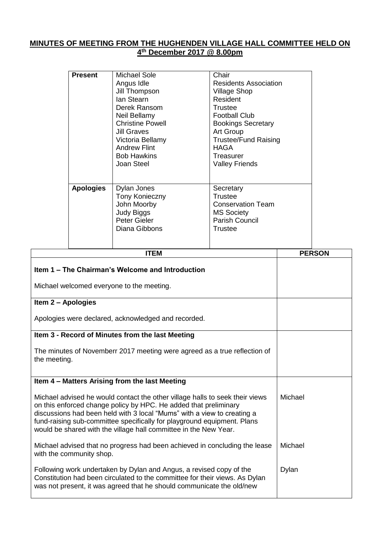## **MINUTES OF MEETING FROM THE HUGHENDEN VILLAGE HALL COMMITTEE HELD ON 4 th December 2017 @ 8.00pm**

|                                                                                               | <b>Present</b>   | <b>Michael Sole</b><br>Angus Idle<br>Jill Thompson<br>lan Stearn<br>Derek Ransom<br>Neil Bellamy<br><b>Christine Powell</b><br><b>Jill Graves</b><br>Victoria Bellamy<br><b>Andrew Flint</b><br><b>Bob Hawkins</b><br>Joan Steel | Chair<br><b>Residents Association</b><br><b>Village Shop</b><br>Resident<br><b>Trustee</b><br><b>Football Club</b><br><b>Bookings Secretary</b><br>Art Group<br><b>Trustee/Fund Raising</b><br><b>HAGA</b><br>Treasurer<br><b>Valley Friends</b> |  |               |
|-----------------------------------------------------------------------------------------------|------------------|----------------------------------------------------------------------------------------------------------------------------------------------------------------------------------------------------------------------------------|--------------------------------------------------------------------------------------------------------------------------------------------------------------------------------------------------------------------------------------------------|--|---------------|
|                                                                                               | <b>Apologies</b> | Dylan Jones<br><b>Tony Konieczny</b><br>John Moorby<br><b>Judy Biggs</b><br>Peter Gieler<br>Diana Gibbons                                                                                                                        | Secretary<br><b>Trustee</b><br><b>Conservation Team</b><br><b>MS Society</b><br><b>Parish Council</b><br><b>Trustee</b>                                                                                                                          |  |               |
|                                                                                               |                  | <b>ITEM</b>                                                                                                                                                                                                                      |                                                                                                                                                                                                                                                  |  | <b>PERSON</b> |
| Item 1 – The Chairman's Welcome and Introduction<br>Michael welcomed everyone to the meeting. |                  |                                                                                                                                                                                                                                  |                                                                                                                                                                                                                                                  |  |               |
| Item 2 - Apologies                                                                            |                  |                                                                                                                                                                                                                                  |                                                                                                                                                                                                                                                  |  |               |
| Apologies were declared, acknowledged and recorded.                                           |                  |                                                                                                                                                                                                                                  |                                                                                                                                                                                                                                                  |  |               |
|                                                                                               |                  | Item 3 - Record of Minutes from the last Meeting                                                                                                                                                                                 |                                                                                                                                                                                                                                                  |  |               |
| the meeting.                                                                                  |                  | The minutes of Novemberr 2017 meeting were agreed as a true reflection of                                                                                                                                                        |                                                                                                                                                                                                                                                  |  |               |
|                                                                                               |                  | Item 4 - Matters Arising from the last Meeting                                                                                                                                                                                   |                                                                                                                                                                                                                                                  |  |               |

Michael advised he would contact the other village halls to seek their views on this enforced change policy by HPC. He added that preliminary discussions had been held with 3 local "Mums" with a view to creating a fund-raising sub-committee specifically for playground equipment. Plans

would be shared with the village hall committee in the New Year.

Michael advised that no progress had been achieved in concluding the lease with the community shop. Michael

Michael

Following work undertaken by Dylan and Angus, a revised copy of the Constitution had been circulated to the committee for their views. As Dylan was not present, it was agreed that he should communicate the old/new Dylan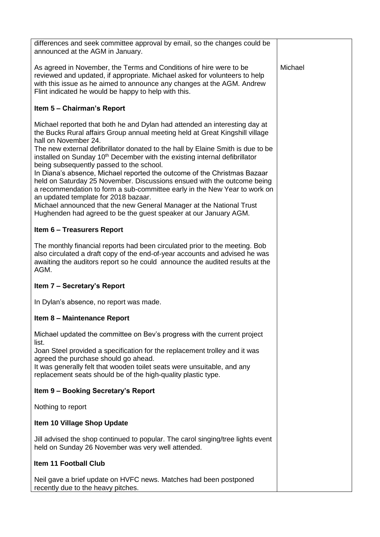| differences and seek committee approval by email, so the changes could be<br>announced at the AGM in January.                                                                                                                                                                                                                                                                                                                                                                                                                                                                                                                                                                                                                                                   |         |
|-----------------------------------------------------------------------------------------------------------------------------------------------------------------------------------------------------------------------------------------------------------------------------------------------------------------------------------------------------------------------------------------------------------------------------------------------------------------------------------------------------------------------------------------------------------------------------------------------------------------------------------------------------------------------------------------------------------------------------------------------------------------|---------|
| As agreed in November, the Terms and Conditions of hire were to be<br>reviewed and updated, if appropriate. Michael asked for volunteers to help<br>with this issue as he aimed to announce any changes at the AGM. Andrew<br>Flint indicated he would be happy to help with this.                                                                                                                                                                                                                                                                                                                                                                                                                                                                              | Michael |
| Item 5 - Chairman's Report                                                                                                                                                                                                                                                                                                                                                                                                                                                                                                                                                                                                                                                                                                                                      |         |
| Michael reported that both he and Dylan had attended an interesting day at<br>the Bucks Rural affairs Group annual meeting held at Great Kingshill village<br>hall on November 24.<br>The new external defibrillator donated to the hall by Elaine Smith is due to be<br>installed on Sunday 10 <sup>th</sup> December with the existing internal defibrillator<br>being subsequently passed to the school.<br>In Diana's absence, Michael reported the outcome of the Christmas Bazaar<br>held on Saturday 25 November. Discussions ensued with the outcome being<br>a recommendation to form a sub-committee early in the New Year to work on<br>an updated template for 2018 bazaar.<br>Michael announced that the new General Manager at the National Trust |         |
| Hughenden had agreed to be the guest speaker at our January AGM.<br><b>Item 6 - Treasurers Report</b>                                                                                                                                                                                                                                                                                                                                                                                                                                                                                                                                                                                                                                                           |         |
|                                                                                                                                                                                                                                                                                                                                                                                                                                                                                                                                                                                                                                                                                                                                                                 |         |
| The monthly financial reports had been circulated prior to the meeting. Bob<br>also circulated a draft copy of the end-of-year accounts and advised he was<br>awaiting the auditors report so he could announce the audited results at the<br>AGM.                                                                                                                                                                                                                                                                                                                                                                                                                                                                                                              |         |
| Item 7 - Secretary's Report                                                                                                                                                                                                                                                                                                                                                                                                                                                                                                                                                                                                                                                                                                                                     |         |
| In Dylan's absence, no report was made.                                                                                                                                                                                                                                                                                                                                                                                                                                                                                                                                                                                                                                                                                                                         |         |
| Item 8 - Maintenance Report                                                                                                                                                                                                                                                                                                                                                                                                                                                                                                                                                                                                                                                                                                                                     |         |
| Michael updated the committee on Bev's progress with the current project                                                                                                                                                                                                                                                                                                                                                                                                                                                                                                                                                                                                                                                                                        |         |
| list.<br>Joan Steel provided a specification for the replacement trolley and it was<br>agreed the purchase should go ahead.<br>It was generally felt that wooden toilet seats were unsuitable, and any<br>replacement seats should be of the high-quality plastic type.                                                                                                                                                                                                                                                                                                                                                                                                                                                                                         |         |
| Item 9 - Booking Secretary's Report                                                                                                                                                                                                                                                                                                                                                                                                                                                                                                                                                                                                                                                                                                                             |         |
| Nothing to report                                                                                                                                                                                                                                                                                                                                                                                                                                                                                                                                                                                                                                                                                                                                               |         |
| Item 10 Village Shop Update                                                                                                                                                                                                                                                                                                                                                                                                                                                                                                                                                                                                                                                                                                                                     |         |
| Jill advised the shop continued to popular. The carol singing/tree lights event<br>held on Sunday 26 November was very well attended.                                                                                                                                                                                                                                                                                                                                                                                                                                                                                                                                                                                                                           |         |
| Item 11 Football Club                                                                                                                                                                                                                                                                                                                                                                                                                                                                                                                                                                                                                                                                                                                                           |         |
| Neil gave a brief update on HVFC news. Matches had been postponed<br>recently due to the heavy pitches.                                                                                                                                                                                                                                                                                                                                                                                                                                                                                                                                                                                                                                                         |         |
|                                                                                                                                                                                                                                                                                                                                                                                                                                                                                                                                                                                                                                                                                                                                                                 |         |